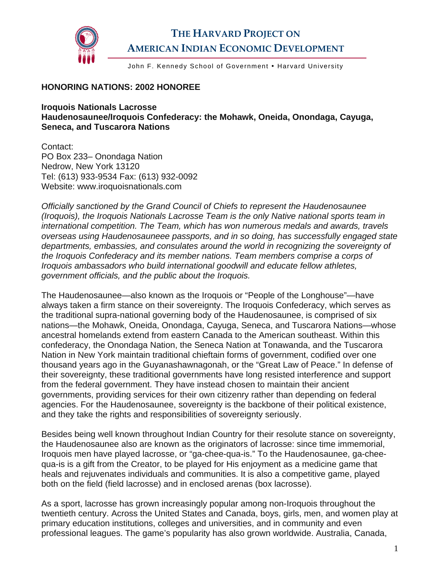

## **THE HARVARD PROJECT ON AMERICAN INDIAN ECONOMIC DEVELOPMENT**

John F. Kennedy School of Government . Harvard University

## **HONORING NATIONS: 2002 HONOREE**

**Iroquois Nationals Lacrosse Haudenosaunee/Iroquois Confederacy: the Mohawk, Oneida, Onondaga, Cayuga, Seneca, and Tuscarora Nations** 

Contact: PO Box 233– Onondaga Nation Nedrow, New York 13120 Tel: (613) 933-9534 Fax: (613) 932-0092 Website: www.iroquoisnationals.com

*Officially sanctioned by the Grand Council of Chiefs to represent the Haudenosaunee (Iroquois), the Iroquois Nationals Lacrosse Team is the only Native national sports team in international competition. The Team, which has won numerous medals and awards, travels overseas using Haudenosauneee passports, and in so doing, has successfully engaged state departments, embassies, and consulates around the world in recognizing the sovereignty of the Iroquois Confederacy and its member nations. Team members comprise a corps of Iroquois ambassadors who build international goodwill and educate fellow athletes, government officials, and the public about the Iroquois.* 

The Haudenosaunee—also known as the Iroquois or "People of the Longhouse"—have always taken a firm stance on their sovereignty. The Iroquois Confederacy, which serves as the traditional supra-national governing body of the Haudenosaunee, is comprised of six nations—the Mohawk, Oneida, Onondaga, Cayuga, Seneca, and Tuscarora Nations—whose ancestral homelands extend from eastern Canada to the American southeast. Within this confederacy, the Onondaga Nation, the Seneca Nation at Tonawanda, and the Tuscarora Nation in New York maintain traditional chieftain forms of government, codified over one thousand years ago in the Guyanashawnagonah, or the "Great Law of Peace." In defense of their sovereignty, these traditional governments have long resisted interference and support from the federal government. They have instead chosen to maintain their ancient governments, providing services for their own citizenry rather than depending on federal agencies. For the Haudenosaunee, sovereignty is the backbone of their political existence, and they take the rights and responsibilities of sovereignty seriously.

Besides being well known throughout Indian Country for their resolute stance on sovereignty, the Haudenosaunee also are known as the originators of lacrosse: since time immemorial, Iroquois men have played lacrosse, or "ga-chee-qua-is." To the Haudenosaunee, ga-cheequa-is is a gift from the Creator, to be played for His enjoyment as a medicine game that heals and rejuvenates individuals and communities. It is also a competitive game, played both on the field (field lacrosse) and in enclosed arenas (box lacrosse).

As a sport, lacrosse has grown increasingly popular among non-Iroquois throughout the twentieth century. Across the United States and Canada, boys, girls, men, and women play at primary education institutions, colleges and universities, and in community and even professional leagues. The game's popularity has also grown worldwide. Australia, Canada,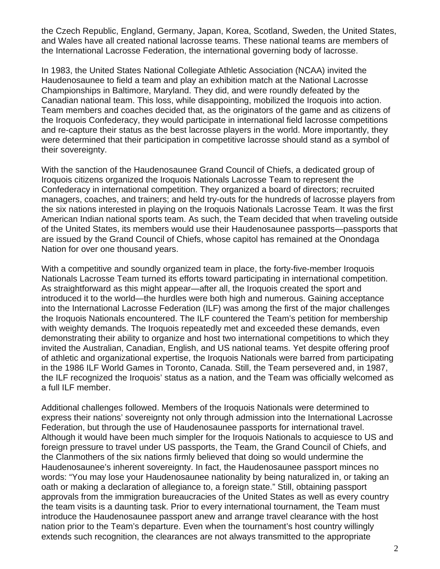the Czech Republic, England, Germany, Japan, Korea, Scotland, Sweden, the United States, and Wales have all created national lacrosse teams. These national teams are members of the International Lacrosse Federation, the international governing body of lacrosse.

In 1983, the United States National Collegiate Athletic Association (NCAA) invited the Haudenosaunee to field a team and play an exhibition match at the National Lacrosse Championships in Baltimore, Maryland. They did, and were roundly defeated by the Canadian national team. This loss, while disappointing, mobilized the Iroquois into action. Team members and coaches decided that, as the originators of the game and as citizens of the Iroquois Confederacy, they would participate in international field lacrosse competitions and re-capture their status as the best lacrosse players in the world. More importantly, they were determined that their participation in competitive lacrosse should stand as a symbol of their sovereignty.

With the sanction of the Haudenosaunee Grand Council of Chiefs, a dedicated group of Iroquois citizens organized the Iroquois Nationals Lacrosse Team to represent the Confederacy in international competition. They organized a board of directors; recruited managers, coaches, and trainers; and held try-outs for the hundreds of lacrosse players from the six nations interested in playing on the Iroquois Nationals Lacrosse Team. It was the first American Indian national sports team. As such, the Team decided that when traveling outside of the United States, its members would use their Haudenosaunee passports—passports that are issued by the Grand Council of Chiefs, whose capitol has remained at the Onondaga Nation for over one thousand years.

With a competitive and soundly organized team in place, the forty-five-member Iroquois Nationals Lacrosse Team turned its efforts toward participating in international competition. As straightforward as this might appear—after all, the Iroquois created the sport and introduced it to the world—the hurdles were both high and numerous. Gaining acceptance into the International Lacrosse Federation (ILF) was among the first of the major challenges the Iroquois Nationals encountered. The ILF countered the Team's petition for membership with weighty demands. The Iroquois repeatedly met and exceeded these demands, even demonstrating their ability to organize and host two international competitions to which they invited the Australian, Canadian, English, and US national teams. Yet despite offering proof of athletic and organizational expertise, the Iroquois Nationals were barred from participating in the 1986 ILF World Games in Toronto, Canada. Still, the Team persevered and, in 1987, the ILF recognized the Iroquois' status as a nation, and the Team was officially welcomed as a full ILF member.

Additional challenges followed. Members of the Iroquois Nationals were determined to express their nations' sovereignty not only through admission into the International Lacrosse Federation, but through the use of Haudenosaunee passports for international travel. Although it would have been much simpler for the Iroquois Nationals to acquiesce to US and foreign pressure to travel under US passports, the Team, the Grand Council of Chiefs, and the Clanmothers of the six nations firmly believed that doing so would undermine the Haudenosaunee's inherent sovereignty. In fact, the Haudenosaunee passport minces no words: "You may lose your Haudenosaunee nationality by being naturalized in, or taking an oath or making a declaration of allegiance to, a foreign state." Still, obtaining passport approvals from the immigration bureaucracies of the United States as well as every country the team visits is a daunting task. Prior to every international tournament, the Team must introduce the Haudenosaunee passport anew and arrange travel clearance with the host nation prior to the Team's departure. Even when the tournament's host country willingly extends such recognition, the clearances are not always transmitted to the appropriate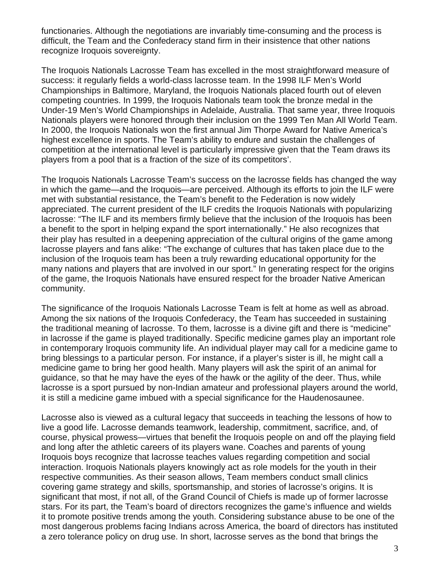functionaries. Although the negotiations are invariably time-consuming and the process is difficult, the Team and the Confederacy stand firm in their insistence that other nations recognize Iroquois sovereignty.

The Iroquois Nationals Lacrosse Team has excelled in the most straightforward measure of success: it regularly fields a world-class lacrosse team. In the 1998 ILF Men's World Championships in Baltimore, Maryland, the Iroquois Nationals placed fourth out of eleven competing countries. In 1999, the Iroquois Nationals team took the bronze medal in the Under-19 Men's World Championships in Adelaide, Australia. That same year, three Iroquois Nationals players were honored through their inclusion on the 1999 Ten Man All World Team. In 2000, the Iroquois Nationals won the first annual Jim Thorpe Award for Native America's highest excellence in sports. The Team's ability to endure and sustain the challenges of competition at the international level is particularly impressive given that the Team draws its players from a pool that is a fraction of the size of its competitors'.

The Iroquois Nationals Lacrosse Team's success on the lacrosse fields has changed the way in which the game—and the Iroquois—are perceived. Although its efforts to join the ILF were met with substantial resistance, the Team's benefit to the Federation is now widely appreciated. The current president of the ILF credits the Iroquois Nationals with popularizing lacrosse: "The ILF and its members firmly believe that the inclusion of the Iroquois has been a benefit to the sport in helping expand the sport internationally." He also recognizes that their play has resulted in a deepening appreciation of the cultural origins of the game among lacrosse players and fans alike: "The exchange of cultures that has taken place due to the inclusion of the Iroquois team has been a truly rewarding educational opportunity for the many nations and players that are involved in our sport." In generating respect for the origins of the game, the Iroquois Nationals have ensured respect for the broader Native American community.

The significance of the Iroquois Nationals Lacrosse Team is felt at home as well as abroad. Among the six nations of the Iroquois Confederacy, the Team has succeeded in sustaining the traditional meaning of lacrosse. To them, lacrosse is a divine gift and there is "medicine" in lacrosse if the game is played traditionally. Specific medicine games play an important role in contemporary Iroquois community life. An individual player may call for a medicine game to bring blessings to a particular person. For instance, if a player's sister is ill, he might call a medicine game to bring her good health. Many players will ask the spirit of an animal for guidance, so that he may have the eyes of the hawk or the agility of the deer. Thus, while lacrosse is a sport pursued by non-Indian amateur and professional players around the world, it is still a medicine game imbued with a special significance for the Haudenosaunee.

Lacrosse also is viewed as a cultural legacy that succeeds in teaching the lessons of how to live a good life. Lacrosse demands teamwork, leadership, commitment, sacrifice, and, of course, physical prowess—virtues that benefit the Iroquois people on and off the playing field and long after the athletic careers of its players wane. Coaches and parents of young Iroquois boys recognize that lacrosse teaches values regarding competition and social interaction. Iroquois Nationals players knowingly act as role models for the youth in their respective communities. As their season allows, Team members conduct small clinics covering game strategy and skills, sportsmanship, and stories of lacrosse's origins. It is significant that most, if not all, of the Grand Council of Chiefs is made up of former lacrosse stars. For its part, the Team's board of directors recognizes the game's influence and wields it to promote positive trends among the youth. Considering substance abuse to be one of the most dangerous problems facing Indians across America, the board of directors has instituted a zero tolerance policy on drug use. In short, lacrosse serves as the bond that brings the